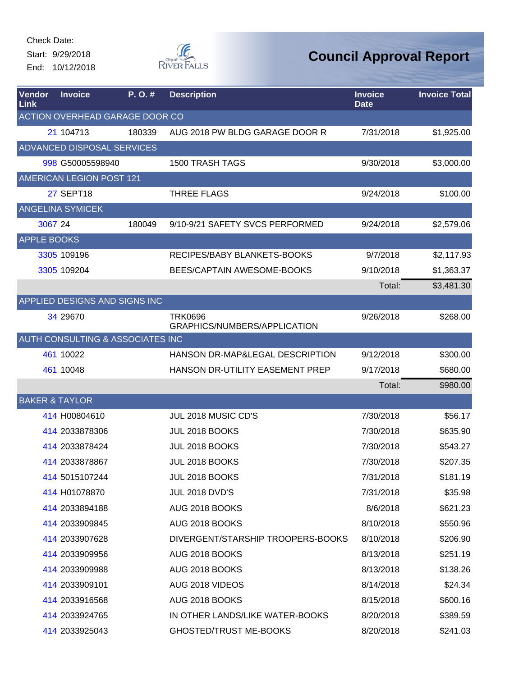Start: 9/29/2018 End: 10/12/2018



| <b>Vendor</b><br>Link     | <b>Invoice</b>                              | $P. O.$ # | <b>Description</b>                             | <b>Invoice</b><br><b>Date</b> | <b>Invoice Total</b> |
|---------------------------|---------------------------------------------|-----------|------------------------------------------------|-------------------------------|----------------------|
|                           | <b>ACTION OVERHEAD GARAGE DOOR CO</b>       |           |                                                |                               |                      |
|                           | 21 104713                                   | 180339    | AUG 2018 PW BLDG GARAGE DOOR R                 | 7/31/2018                     | \$1,925.00           |
|                           | <b>ADVANCED DISPOSAL SERVICES</b>           |           |                                                |                               |                      |
|                           | 998 G50005598940                            |           | <b>1500 TRASH TAGS</b>                         | 9/30/2018                     | \$3,000.00           |
|                           | AMERICAN LEGION POST 121                    |           |                                                |                               |                      |
|                           | <b>27 SEPT18</b>                            |           | <b>THREE FLAGS</b>                             | 9/24/2018                     | \$100.00             |
|                           | <b>ANGELINA SYMICEK</b>                     |           |                                                |                               |                      |
| 3067 24                   |                                             | 180049    | 9/10-9/21 SAFETY SVCS PERFORMED                | 9/24/2018                     | \$2,579.06           |
| <b>APPLE BOOKS</b>        |                                             |           |                                                |                               |                      |
|                           | 3305 109196                                 |           | RECIPES/BABY BLANKETS-BOOKS                    | 9/7/2018                      | \$2,117.93           |
|                           | 3305 109204                                 |           | BEES/CAPTAIN AWESOME-BOOKS                     | 9/10/2018                     | \$1,363.37           |
|                           |                                             |           |                                                | Total:                        | \$3,481.30           |
|                           | APPLIED DESIGNS AND SIGNS INC               |           |                                                |                               |                      |
|                           | 34 29 670                                   |           | <b>TRK0696</b><br>GRAPHICS/NUMBERS/APPLICATION | 9/26/2018                     | \$268.00             |
|                           | <b>AUTH CONSULTING &amp; ASSOCIATES INC</b> |           |                                                |                               |                      |
|                           | 461 10022                                   |           | HANSON DR-MAP&LEGAL DESCRIPTION                | 9/12/2018                     | \$300.00             |
|                           | 461 10048                                   |           | HANSON DR-UTILITY EASEMENT PREP                | 9/17/2018                     | \$680.00             |
|                           |                                             |           |                                                | Total:                        | \$980.00             |
| <b>BAKER &amp; TAYLOR</b> |                                             |           |                                                |                               |                      |
|                           | 414 H00804610                               |           | JUL 2018 MUSIC CD'S                            | 7/30/2018                     | \$56.17              |
|                           | 414 2033878306                              |           | JUL 2018 BOOKS                                 | 7/30/2018                     | \$635.90             |
|                           | 414 2033878424                              |           | JUL 2018 BOOKS                                 | 7/30/2018                     | \$543.27             |
|                           | 414 2033878867                              |           | JUL 2018 BOOKS                                 | 7/30/2018                     | \$207.35             |
|                           | 414 5015107244                              |           | JUL 2018 BOOKS                                 | 7/31/2018                     | \$181.19             |
|                           | 414 H01078870                               |           | <b>JUL 2018 DVD'S</b>                          | 7/31/2018                     | \$35.98              |
|                           | 414 2033894188                              |           | AUG 2018 BOOKS                                 | 8/6/2018                      | \$621.23             |
|                           | 414 2033909845                              |           | AUG 2018 BOOKS                                 | 8/10/2018                     | \$550.96             |
|                           | 414 2033907628                              |           | DIVERGENT/STARSHIP TROOPERS-BOOKS              | 8/10/2018                     | \$206.90             |
|                           | 414 2033909956                              |           | AUG 2018 BOOKS                                 | 8/13/2018                     | \$251.19             |
|                           | 414 2033909988                              |           | AUG 2018 BOOKS                                 | 8/13/2018                     | \$138.26             |
|                           | 414 2033909101                              |           | AUG 2018 VIDEOS                                | 8/14/2018                     | \$24.34              |
|                           | 414 2033916568                              |           | AUG 2018 BOOKS                                 | 8/15/2018                     | \$600.16             |
|                           | 414 2033924765                              |           | IN OTHER LANDS/LIKE WATER-BOOKS                | 8/20/2018                     | \$389.59             |
|                           | 414 2033925043                              |           | <b>GHOSTED/TRUST ME-BOOKS</b>                  | 8/20/2018                     | \$241.03             |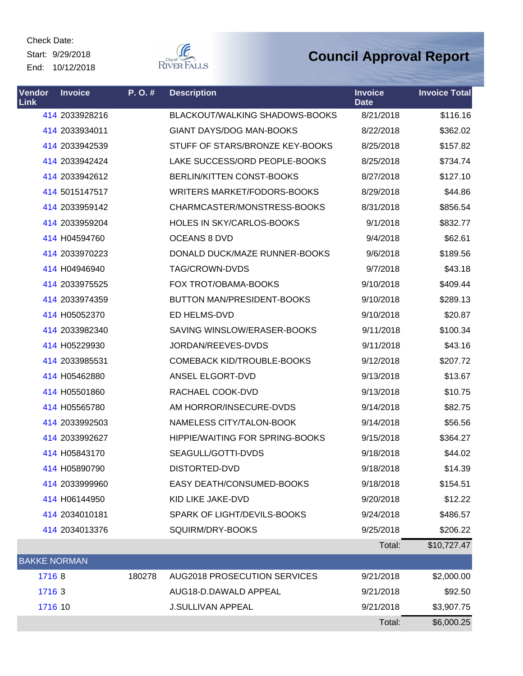Check Date: Start: 9/29/2018

End: 10/12/2018



| <b>Vendor</b><br>Link | <b>Invoice</b> | P. O. # | <b>Description</b>                     | <b>Invoice</b><br><b>Date</b> | <b>Invoice Total</b> |
|-----------------------|----------------|---------|----------------------------------------|-------------------------------|----------------------|
|                       | 414 2033928216 |         | BLACKOUT/WALKING SHADOWS-BOOKS         | 8/21/2018                     | \$116.16             |
|                       | 414 2033934011 |         | <b>GIANT DAYS/DOG MAN-BOOKS</b>        | 8/22/2018                     | \$362.02             |
|                       | 414 2033942539 |         | STUFF OF STARS/BRONZE KEY-BOOKS        | 8/25/2018                     | \$157.82             |
|                       | 414 2033942424 |         | LAKE SUCCESS/ORD PEOPLE-BOOKS          | 8/25/2018                     | \$734.74             |
|                       | 414 2033942612 |         | BERLIN/KITTEN CONST-BOOKS              | 8/27/2018                     | \$127.10             |
|                       | 414 5015147517 |         | WRITERS MARKET/FODORS-BOOKS            | 8/29/2018                     | \$44.86              |
|                       | 414 2033959142 |         | CHARMCASTER/MONSTRESS-BOOKS            | 8/31/2018                     | \$856.54             |
|                       | 414 2033959204 |         | HOLES IN SKY/CARLOS-BOOKS              | 9/1/2018                      | \$832.77             |
|                       | 414 H04594760  |         | <b>OCEANS 8 DVD</b>                    | 9/4/2018                      | \$62.61              |
|                       | 414 2033970223 |         | DONALD DUCK/MAZE RUNNER-BOOKS          | 9/6/2018                      | \$189.56             |
|                       | 414 H04946940  |         | TAG/CROWN-DVDS                         | 9/7/2018                      | \$43.18              |
|                       | 414 2033975525 |         | FOX TROT/OBAMA-BOOKS                   | 9/10/2018                     | \$409.44             |
|                       | 414 2033974359 |         | BUTTON MAN/PRESIDENT-BOOKS             | 9/10/2018                     | \$289.13             |
|                       | 414 H05052370  |         | ED HELMS-DVD                           | 9/10/2018                     | \$20.87              |
|                       | 414 2033982340 |         | SAVING WINSLOW/ERASER-BOOKS            | 9/11/2018                     | \$100.34             |
|                       | 414 H05229930  |         | JORDAN/REEVES-DVDS                     | 9/11/2018                     | \$43.16              |
|                       | 414 2033985531 |         | <b>COMEBACK KID/TROUBLE-BOOKS</b>      | 9/12/2018                     | \$207.72             |
|                       | 414 H05462880  |         | ANSEL ELGORT-DVD                       | 9/13/2018                     | \$13.67              |
|                       | 414 H05501860  |         | RACHAEL COOK-DVD                       | 9/13/2018                     | \$10.75              |
|                       | 414 H05565780  |         | AM HORROR/INSECURE-DVDS                | 9/14/2018                     | \$82.75              |
|                       | 414 2033992503 |         | NAMELESS CITY/TALON-BOOK               | 9/14/2018                     | \$56.56              |
|                       | 414 2033992627 |         | <b>HIPPIE/WAITING FOR SPRING-BOOKS</b> | 9/15/2018                     | \$364.27             |
|                       | 414 H05843170  |         | SEAGULL/GOTTI-DVDS                     | 9/18/2018                     | \$44.02              |
|                       | 414 H05890790  |         | DISTORTED-DVD                          | 9/18/2018                     | \$14.39              |
|                       | 414 2033999960 |         | EASY DEATH/CONSUMED-BOOKS              | 9/18/2018                     | \$154.51             |
|                       | 414 H06144950  |         | KID LIKE JAKE-DVD                      | 9/20/2018                     | \$12.22              |
|                       | 414 2034010181 |         | SPARK OF LIGHT/DEVILS-BOOKS            | 9/24/2018                     | \$486.57             |
|                       | 414 2034013376 |         | SQUIRM/DRY-BOOKS                       | 9/25/2018                     | \$206.22             |
|                       |                |         |                                        | Total:                        | \$10,727.47          |
| <b>BAKKE NORMAN</b>   |                |         |                                        |                               |                      |
| 17168                 |                | 180278  | <b>AUG2018 PROSECUTION SERVICES</b>    | 9/21/2018                     | \$2,000.00           |
| 1716 3                |                |         | AUG18-D.DAWALD APPEAL                  | 9/21/2018                     | \$92.50              |
| 1716 10               |                |         | <b>J.SULLIVAN APPEAL</b>               | 9/21/2018                     | \$3,907.75           |
|                       |                |         |                                        | Total:                        | \$6,000.25           |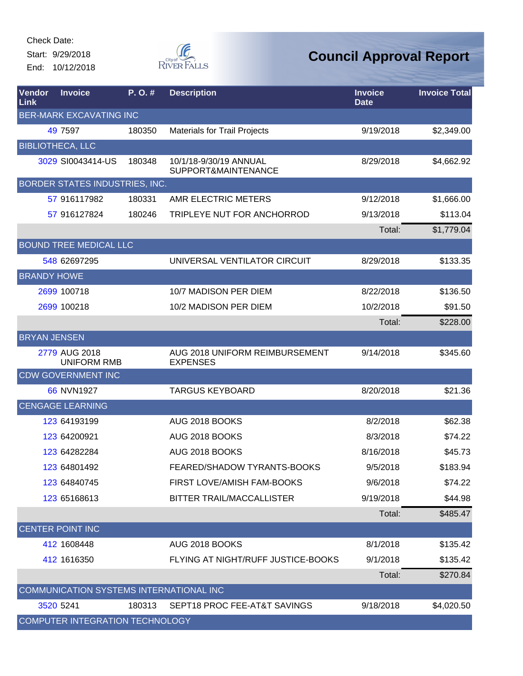Start: 9/29/2018 End: 10/12/2018



| Vendor<br>Link      | <b>Invoice</b>                          | P.O.#  | <b>Description</b>                                | <b>Invoice</b><br><b>Date</b> | <b>Invoice Total</b> |
|---------------------|-----------------------------------------|--------|---------------------------------------------------|-------------------------------|----------------------|
|                     | <b>BER-MARK EXCAVATING INC</b>          |        |                                                   |                               |                      |
|                     | 49 7597                                 | 180350 | <b>Materials for Trail Projects</b>               | 9/19/2018                     | \$2,349.00           |
|                     | <b>BIBLIOTHECA, LLC</b>                 |        |                                                   |                               |                      |
|                     | 3029 SI0043414-US                       | 180348 | 10/1/18-9/30/19 ANNUAL<br>SUPPORT&MAINTENANCE     | 8/29/2018                     | \$4,662.92           |
|                     | BORDER STATES INDUSTRIES, INC.          |        |                                                   |                               |                      |
|                     | 57 916117982                            | 180331 | AMR ELECTRIC METERS                               | 9/12/2018                     | \$1,666.00           |
|                     | 57 916127824                            | 180246 | TRIPLEYE NUT FOR ANCHORROD                        | 9/13/2018                     | \$113.04             |
|                     |                                         |        |                                                   | Total:                        | \$1,779.04           |
|                     | <b>BOUND TREE MEDICAL LLC</b>           |        |                                                   |                               |                      |
|                     | 548 62697295                            |        | UNIVERSAL VENTILATOR CIRCUIT                      | 8/29/2018                     | \$133.35             |
| <b>BRANDY HOWE</b>  |                                         |        |                                                   |                               |                      |
|                     | 2699 100718                             |        | 10/7 MADISON PER DIEM                             | 8/22/2018                     | \$136.50             |
|                     | 2699 100218                             |        | 10/2 MADISON PER DIEM                             | 10/2/2018                     | \$91.50              |
|                     |                                         |        |                                                   | Total:                        | \$228.00             |
| <b>BRYAN JENSEN</b> |                                         |        |                                                   |                               |                      |
|                     | 2779 AUG 2018<br><b>UNIFORM RMB</b>     |        | AUG 2018 UNIFORM REIMBURSEMENT<br><b>EXPENSES</b> | 9/14/2018                     | \$345.60             |
|                     | <b>CDW GOVERNMENT INC</b>               |        |                                                   |                               |                      |
|                     | 66 NVN1927                              |        | <b>TARGUS KEYBOARD</b>                            | 8/20/2018                     | \$21.36              |
|                     | <b>CENGAGE LEARNING</b>                 |        |                                                   |                               |                      |
|                     | 123 64193199                            |        | AUG 2018 BOOKS                                    | 8/2/2018                      | \$62.38              |
|                     | 123 64200921                            |        | AUG 2018 BOOKS                                    | 8/3/2018                      | \$74.22              |
|                     | 123 64282284                            |        | AUG 2018 BOOKS                                    | 8/16/2018                     | \$45.73              |
|                     | 123 64801492                            |        | FEARED/SHADOW TYRANTS-BOOKS                       | 9/5/2018                      | \$183.94             |
|                     | 123 64840745                            |        | FIRST LOVE/AMISH FAM-BOOKS                        | 9/6/2018                      | \$74.22              |
|                     | 123 65168613                            |        | BITTER TRAIL/MACCALLISTER                         | 9/19/2018                     | \$44.98              |
|                     |                                         |        |                                                   | Total:                        | \$485.47             |
|                     | <b>CENTER POINT INC</b>                 |        |                                                   |                               |                      |
|                     | 412 1608448                             |        | AUG 2018 BOOKS                                    | 8/1/2018                      | \$135.42             |
|                     | 412 1616350                             |        | FLYING AT NIGHT/RUFF JUSTICE-BOOKS                | 9/1/2018                      | \$135.42             |
|                     |                                         |        |                                                   | Total:                        | \$270.84             |
|                     | COMMUNICATION SYSTEMS INTERNATIONAL INC |        |                                                   |                               |                      |
|                     | 3520 5241                               | 180313 | SEPT18 PROC FEE-AT&T SAVINGS                      | 9/18/2018                     | \$4,020.50           |
|                     | COMPUTER INTEGRATION TECHNOLOGY         |        |                                                   |                               |                      |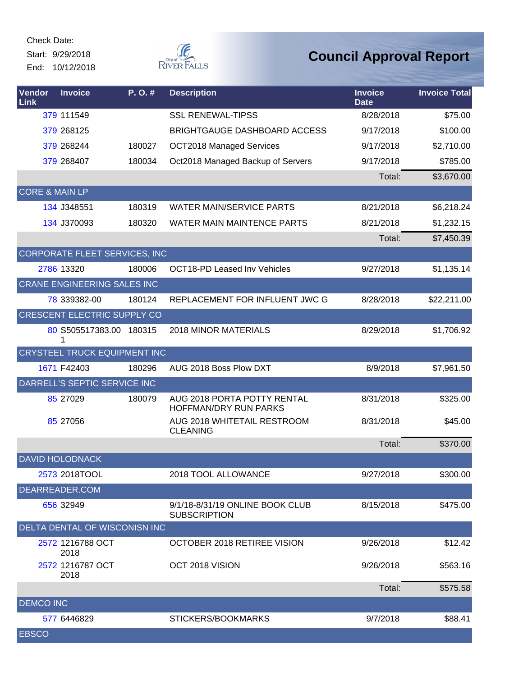Start: 9/29/2018 End: 10/12/2018



| <b>Vendor</b><br>Link     | <b>Invoice</b>                      | P.O.#  | <b>Description</b>                                     | <b>Invoice</b><br><b>Date</b> | <b>Invoice Total</b> |
|---------------------------|-------------------------------------|--------|--------------------------------------------------------|-------------------------------|----------------------|
|                           | 379 111549                          |        | <b>SSL RENEWAL-TIPSS</b>                               | 8/28/2018                     | \$75.00              |
|                           | 379 268125                          |        | <b>BRIGHTGAUGE DASHBOARD ACCESS</b>                    | 9/17/2018                     | \$100.00             |
|                           | 379 268244                          | 180027 | <b>OCT2018 Managed Services</b>                        | 9/17/2018                     | \$2,710.00           |
|                           | 379 268407                          | 180034 | Oct2018 Managed Backup of Servers                      | 9/17/2018                     | \$785.00             |
|                           |                                     |        |                                                        | Total:                        | \$3,670.00           |
| <b>CORE &amp; MAIN LP</b> |                                     |        |                                                        |                               |                      |
|                           | 134 J348551                         | 180319 | <b>WATER MAIN/SERVICE PARTS</b>                        | 8/21/2018                     | \$6,218.24           |
|                           | 134 J370093                         | 180320 | WATER MAIN MAINTENCE PARTS                             | 8/21/2018                     | \$1,232.15           |
|                           |                                     |        |                                                        | Total:                        | \$7,450.39           |
|                           | CORPORATE FLEET SERVICES, INC       |        |                                                        |                               |                      |
|                           | 2786 13320                          | 180006 | <b>OCT18-PD Leased Inv Vehicles</b>                    | 9/27/2018                     | \$1,135.14           |
|                           | <b>CRANE ENGINEERING SALES INC</b>  |        |                                                        |                               |                      |
|                           | 78 339382-00                        | 180124 | REPLACEMENT FOR INFLUENT JWC G                         | 8/28/2018                     | \$22,211.00          |
|                           | CRESCENT ELECTRIC SUPPLY CO         |        |                                                        |                               |                      |
|                           | 80 S505517383.00 180315<br>1        |        | <b>2018 MINOR MATERIALS</b>                            | 8/29/2018                     | \$1,706.92           |
|                           | <b>CRYSTEEL TRUCK EQUIPMENT INC</b> |        |                                                        |                               |                      |
|                           | 1671 F42403                         | 180296 | AUG 2018 Boss Plow DXT                                 | 8/9/2018                      | \$7,961.50           |
|                           | DARRELL'S SEPTIC SERVICE INC        |        |                                                        |                               |                      |
|                           | 85 27029                            | 180079 | AUG 2018 PORTA POTTY RENTAL<br>HOFFMAN/DRY RUN PARKS   | 8/31/2018                     | \$325.00             |
|                           | 85 27056                            |        | AUG 2018 WHITETAIL RESTROOM<br><b>CLEANING</b>         | 8/31/2018                     | \$45.00              |
|                           |                                     |        |                                                        | Total:                        | \$370.00             |
|                           | <b>DAVID HOLODNACK</b>              |        |                                                        |                               |                      |
|                           | 2573 2018TOOL                       |        | 2018 TOOL ALLOWANCE                                    | 9/27/2018                     | \$300.00             |
|                           | DEARREADER.COM                      |        |                                                        |                               |                      |
|                           | 656 32949                           |        | 9/1/18-8/31/19 ONLINE BOOK CLUB<br><b>SUBSCRIPTION</b> | 8/15/2018                     | \$475.00             |
|                           | DELTA DENTAL OF WISCONISN INC       |        |                                                        |                               |                      |
|                           | 2572 1216788 OCT<br>2018            |        | OCTOBER 2018 RETIREE VISION                            | 9/26/2018                     | \$12.42              |
|                           | 2572 1216787 OCT<br>2018            |        | OCT 2018 VISION                                        | 9/26/2018                     | \$563.16             |
|                           |                                     |        |                                                        | Total:                        | \$575.58             |
| <b>DEMCO INC</b>          |                                     |        |                                                        |                               |                      |
|                           | 577 6446829                         |        | STICKERS/BOOKMARKS                                     | 9/7/2018                      | \$88.41              |
| <b>EBSCO</b>              |                                     |        |                                                        |                               |                      |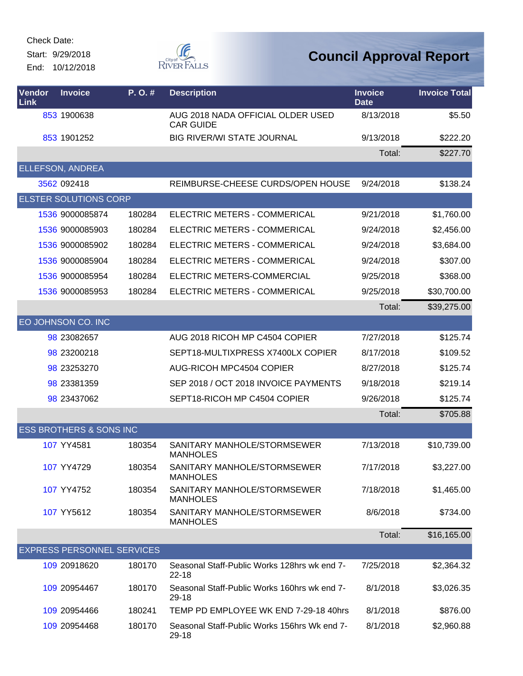Start: 9/29/2018 End: 10/12/2018



| Vendor<br>Link | <b>Invoice</b>                     | P.O.#  | <b>Description</b>                                        | <b>Invoice</b><br><b>Date</b> | <b>Invoice Total</b> |
|----------------|------------------------------------|--------|-----------------------------------------------------------|-------------------------------|----------------------|
|                | 853 1900638                        |        | AUG 2018 NADA OFFICIAL OLDER USED<br><b>CAR GUIDE</b>     | 8/13/2018                     | \$5.50               |
|                | 853 1901252                        |        | <b>BIG RIVER/WI STATE JOURNAL</b>                         | 9/13/2018                     | \$222.20             |
|                |                                    |        |                                                           | Total:                        | \$227.70             |
|                | ELLEFSON, ANDREA                   |        |                                                           |                               |                      |
|                | 3562 092418                        |        | REIMBURSE-CHEESE CURDS/OPEN HOUSE                         | 9/24/2018                     | \$138.24             |
|                | <b>ELSTER SOLUTIONS CORP</b>       |        |                                                           |                               |                      |
|                | 1536 9000085874                    | 180284 | <b>ELECTRIC METERS - COMMERICAL</b>                       | 9/21/2018                     | \$1,760.00           |
|                | 1536 9000085903                    | 180284 | ELECTRIC METERS - COMMERICAL                              | 9/24/2018                     | \$2,456.00           |
|                | 1536 9000085902                    | 180284 | <b>ELECTRIC METERS - COMMERICAL</b>                       | 9/24/2018                     | \$3,684.00           |
|                | 1536 9000085904                    | 180284 | ELECTRIC METERS - COMMERICAL                              | 9/24/2018                     | \$307.00             |
|                | 1536 9000085954                    | 180284 | ELECTRIC METERS-COMMERCIAL                                | 9/25/2018                     | \$368.00             |
|                | 1536 9000085953                    | 180284 | ELECTRIC METERS - COMMERICAL                              | 9/25/2018                     | \$30,700.00          |
|                |                                    |        |                                                           | Total:                        | \$39,275.00          |
|                | EO JOHNSON CO. INC                 |        |                                                           |                               |                      |
|                | 98 23082657                        |        | AUG 2018 RICOH MP C4504 COPIER                            | 7/27/2018                     | \$125.74             |
|                | 98 23200218                        |        | SEPT18-MULTIXPRESS X7400LX COPIER                         | 8/17/2018                     | \$109.52             |
|                | 98 23253270                        |        | <b>AUG-RICOH MPC4504 COPIER</b>                           | 8/27/2018                     | \$125.74             |
|                | 98 23381359                        |        | SEP 2018 / OCT 2018 INVOICE PAYMENTS                      | 9/18/2018                     | \$219.14             |
|                | 98 23437062                        |        | SEPT18-RICOH MP C4504 COPIER                              | 9/26/2018                     | \$125.74             |
|                |                                    |        |                                                           | Total:                        | \$705.88             |
|                | <b>ESS BROTHERS &amp; SONS INC</b> |        |                                                           |                               |                      |
|                | 107 YY4581                         | 180354 | SANITARY MANHOLE/STORMSEWER<br><b>MANHOLES</b>            | 7/13/2018                     | \$10,739.00          |
|                | 107 YY4729                         | 180354 | SANITARY MANHOLE/STORMSEWER<br><b>MANHOLES</b>            | 7/17/2018                     | \$3,227.00           |
|                | 107 YY4752                         | 180354 | SANITARY MANHOLE/STORMSEWER<br><b>MANHOLES</b>            | 7/18/2018                     | \$1,465.00           |
|                | 107 YY5612                         | 180354 | SANITARY MANHOLE/STORMSEWER<br><b>MANHOLES</b>            | 8/6/2018                      | \$734.00             |
|                |                                    |        |                                                           | Total:                        | \$16,165.00          |
|                | <b>EXPRESS PERSONNEL SERVICES</b>  |        |                                                           |                               |                      |
|                | 109 20918620                       | 180170 | Seasonal Staff-Public Works 128hrs wk end 7-<br>$22 - 18$ | 7/25/2018                     | \$2,364.32           |
|                | 109 20954467                       | 180170 | Seasonal Staff-Public Works 160hrs wk end 7-<br>29-18     | 8/1/2018                      | \$3,026.35           |
|                | 109 20954466                       | 180241 | TEMP PD EMPLOYEE WK END 7-29-18 40hrs                     | 8/1/2018                      | \$876.00             |
|                | 109 20954468                       | 180170 | Seasonal Staff-Public Works 156hrs Wk end 7-<br>29-18     | 8/1/2018                      | \$2,960.88           |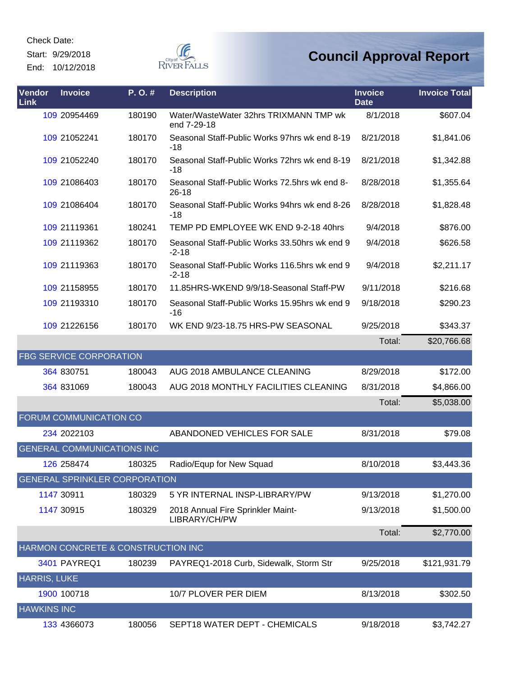Start: 9/29/2018

End: 10/12/2018



| Vendor<br>Link      | <b>Invoice</b>                       | P.O.#  | <b>Description</b>                                         | <b>Invoice</b><br><b>Date</b> | <b>Invoice Total</b> |
|---------------------|--------------------------------------|--------|------------------------------------------------------------|-------------------------------|----------------------|
|                     | 109 20954469                         | 180190 | Water/WasteWater 32hrs TRIXMANN TMP wk<br>end 7-29-18      | 8/1/2018                      | \$607.04             |
|                     | 109 21052241                         | 180170 | Seasonal Staff-Public Works 97hrs wk end 8-19<br>-18       | 8/21/2018                     | \$1,841.06           |
|                     | 109 21052240                         | 180170 | Seasonal Staff-Public Works 72hrs wk end 8-19<br>-18       | 8/21/2018                     | \$1,342.88           |
|                     | 109 21086403                         | 180170 | Seasonal Staff-Public Works 72.5hrs wk end 8-<br>$26 - 18$ | 8/28/2018                     | \$1,355.64           |
|                     | 109 21086404                         | 180170 | Seasonal Staff-Public Works 94hrs wk end 8-26<br>$-18$     | 8/28/2018                     | \$1,828.48           |
|                     | 109 21119361                         | 180241 | TEMP PD EMPLOYEE WK END 9-2-18 40hrs                       | 9/4/2018                      | \$876.00             |
|                     | 109 21119362                         | 180170 | Seasonal Staff-Public Works 33.50hrs wk end 9<br>$-2 - 18$ | 9/4/2018                      | \$626.58             |
|                     | 109 21119363                         | 180170 | Seasonal Staff-Public Works 116.5hrs wk end 9<br>$-2 - 18$ | 9/4/2018                      | \$2,211.17           |
|                     | 109 21158955                         | 180170 | 11.85HRS-WKEND 9/9/18-Seasonal Staff-PW                    | 9/11/2018                     | \$216.68             |
|                     | 109 21193310                         | 180170 | Seasonal Staff-Public Works 15.95hrs wk end 9<br>-16       | 9/18/2018                     | \$290.23             |
|                     | 109 21226156                         | 180170 | WK END 9/23-18.75 HRS-PW SEASONAL                          | 9/25/2018                     | \$343.37             |
|                     |                                      |        |                                                            | Total:                        | \$20,766.68          |
|                     | <b>FBG SERVICE CORPORATION</b>       |        |                                                            |                               |                      |
|                     | 364 830751                           | 180043 | AUG 2018 AMBULANCE CLEANING                                | 8/29/2018                     | \$172.00             |
|                     | 364 831069                           | 180043 | AUG 2018 MONTHLY FACILITIES CLEANING                       | 8/31/2018                     | \$4,866.00           |
|                     |                                      |        |                                                            | Total:                        | \$5,038.00           |
|                     | FORUM COMMUNICATION CO               |        |                                                            |                               |                      |
|                     | 234 2022103                          |        | ABANDONED VEHICLES FOR SALE                                | 8/31/2018                     | \$79.08              |
|                     | <b>GENERAL COMMUNICATIONS INC</b>    |        |                                                            |                               |                      |
|                     | 126 258474                           | 180325 | Radio/Equp for New Squad                                   | 8/10/2018                     | \$3,443.36           |
|                     | <b>GENERAL SPRINKLER CORPORATION</b> |        |                                                            |                               |                      |
|                     | 1147 30911                           | 180329 | 5 YR INTERNAL INSP-LIBRARY/PW                              | 9/13/2018                     | \$1,270.00           |
|                     | 1147 30915                           | 180329 | 2018 Annual Fire Sprinkler Maint-<br>LIBRARY/CH/PW         | 9/13/2018                     | \$1,500.00           |
|                     |                                      |        |                                                            | Total:                        | \$2,770.00           |
|                     | HARMON CONCRETE & CONSTRUCTION INC   |        |                                                            |                               |                      |
|                     | <b>3401 PAYREQ1</b>                  | 180239 | PAYREQ1-2018 Curb, Sidewalk, Storm Str                     | 9/25/2018                     | \$121,931.79         |
| <b>HARRIS, LUKE</b> |                                      |        |                                                            |                               |                      |
|                     | 1900 100718                          |        | 10/7 PLOVER PER DIEM                                       | 8/13/2018                     | \$302.50             |
| <b>HAWKINS INC</b>  |                                      |        |                                                            |                               |                      |
|                     | 133 4366073                          | 180056 | SEPT18 WATER DEPT - CHEMICALS                              | 9/18/2018                     | \$3,742.27           |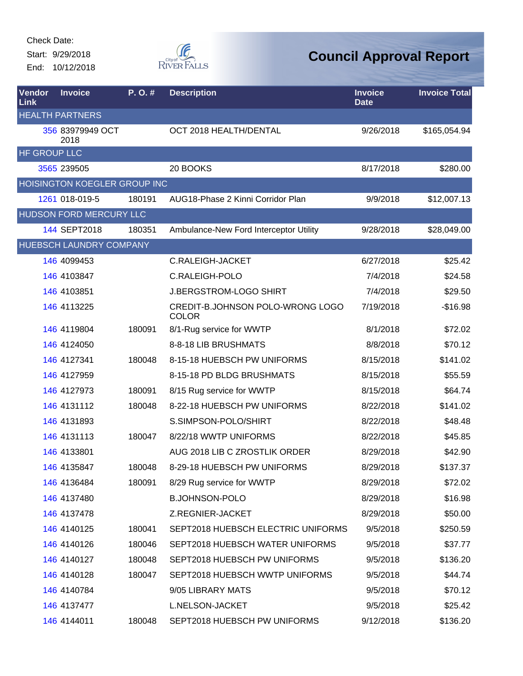Start: 9/29/2018 End: 10/12/2018



| Vendor<br>Link | <b>Invoice</b>               | P.O.#  | <b>Description</b>                               | <b>Invoice</b><br><b>Date</b> | <b>Invoice Total</b> |
|----------------|------------------------------|--------|--------------------------------------------------|-------------------------------|----------------------|
|                | <b>HEALTH PARTNERS</b>       |        |                                                  |                               |                      |
|                | 356 83979949 OCT<br>2018     |        | OCT 2018 HEALTH/DENTAL                           | 9/26/2018                     | \$165,054.94         |
| HF GROUP LLC   |                              |        |                                                  |                               |                      |
|                | 3565 239505                  |        | 20 BOOKS                                         | 8/17/2018                     | \$280.00             |
|                | HOISINGTON KOEGLER GROUP INC |        |                                                  |                               |                      |
|                | 1261 018-019-5               | 180191 | AUG18-Phase 2 Kinni Corridor Plan                | 9/9/2018                      | \$12,007.13          |
|                | HUDSON FORD MERCURY LLC      |        |                                                  |                               |                      |
|                | 144 SEPT2018                 | 180351 | Ambulance-New Ford Interceptor Utility           | 9/28/2018                     | \$28,049.00          |
|                | HUEBSCH LAUNDRY COMPANY      |        |                                                  |                               |                      |
|                | 146 4099453                  |        | <b>C.RALEIGH-JACKET</b>                          | 6/27/2018                     | \$25.42              |
|                | 146 4103847                  |        | C.RALEIGH-POLO                                   | 7/4/2018                      | \$24.58              |
|                | 146 4103851                  |        | <b>J.BERGSTROM-LOGO SHIRT</b>                    | 7/4/2018                      | \$29.50              |
|                | 146 4113225                  |        | CREDIT-B.JOHNSON POLO-WRONG LOGO<br><b>COLOR</b> | 7/19/2018                     | $-$16.98$            |
|                | 146 4119804                  | 180091 | 8/1-Rug service for WWTP                         | 8/1/2018                      | \$72.02              |
|                | 146 4124050                  |        | 8-8-18 LIB BRUSHMATS                             | 8/8/2018                      | \$70.12              |
|                | 146 4127341                  | 180048 | 8-15-18 HUEBSCH PW UNIFORMS                      | 8/15/2018                     | \$141.02             |
|                | 146 4127959                  |        | 8-15-18 PD BLDG BRUSHMATS                        | 8/15/2018                     | \$55.59              |
|                | 146 4127973                  | 180091 | 8/15 Rug service for WWTP                        | 8/15/2018                     | \$64.74              |
|                | 146 4131112                  | 180048 | 8-22-18 HUEBSCH PW UNIFORMS                      | 8/22/2018                     | \$141.02             |
|                | 146 4131893                  |        | S.SIMPSON-POLO/SHIRT                             | 8/22/2018                     | \$48.48              |
|                | 146 4131113                  | 180047 | 8/22/18 WWTP UNIFORMS                            | 8/22/2018                     | \$45.85              |
|                | 146 4133801                  |        | AUG 2018 LIB C ZROSTLIK ORDER                    | 8/29/2018                     | \$42.90              |
|                | 146 4135847                  | 180048 | 8-29-18 HUEBSCH PW UNIFORMS                      | 8/29/2018                     | \$137.37             |
|                | 146 4136484                  | 180091 | 8/29 Rug service for WWTP                        | 8/29/2018                     | \$72.02              |
|                | 146 4137480                  |        | <b>B.JOHNSON-POLO</b>                            | 8/29/2018                     | \$16.98              |
|                | 146 4137478                  |        | Z.REGNIER-JACKET                                 | 8/29/2018                     | \$50.00              |
|                | 146 4140125                  | 180041 | SEPT2018 HUEBSCH ELECTRIC UNIFORMS               | 9/5/2018                      | \$250.59             |
|                | 146 4140126                  | 180046 | SEPT2018 HUEBSCH WATER UNIFORMS                  | 9/5/2018                      | \$37.77              |
|                | 146 4140127                  | 180048 | SEPT2018 HUEBSCH PW UNIFORMS                     | 9/5/2018                      | \$136.20             |
|                | 146 4140128                  | 180047 | SEPT2018 HUEBSCH WWTP UNIFORMS                   | 9/5/2018                      | \$44.74              |
|                | 146 4140784                  |        | 9/05 LIBRARY MATS                                | 9/5/2018                      | \$70.12              |
|                | 146 4137477                  |        | L.NELSON-JACKET                                  | 9/5/2018                      | \$25.42              |
|                | 146 4144011                  | 180048 | SEPT2018 HUEBSCH PW UNIFORMS                     | 9/12/2018                     | \$136.20             |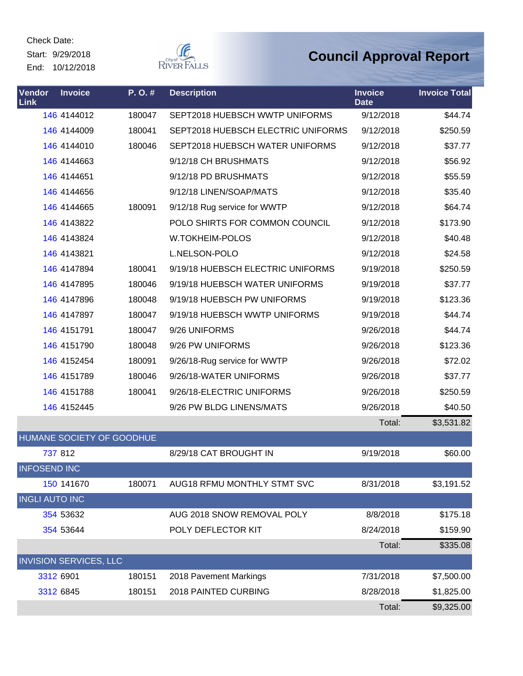Start: 9/29/2018 End: 10/12/2018



| <b>Vendor</b><br><b>Link</b> | <b>Invoice</b>                | P.O.#  | <b>Description</b>                 | <b>Invoice</b><br><b>Date</b> | <b>Invoice Total</b> |
|------------------------------|-------------------------------|--------|------------------------------------|-------------------------------|----------------------|
|                              | 146 4144012                   | 180047 | SEPT2018 HUEBSCH WWTP UNIFORMS     | 9/12/2018                     | \$44.74              |
|                              | 146 4144009                   | 180041 | SEPT2018 HUEBSCH ELECTRIC UNIFORMS | 9/12/2018                     | \$250.59             |
|                              | 146 4144010                   | 180046 | SEPT2018 HUEBSCH WATER UNIFORMS    | 9/12/2018                     | \$37.77              |
|                              | 146 4144663                   |        | 9/12/18 CH BRUSHMATS               | 9/12/2018                     | \$56.92              |
|                              | 146 4144651                   |        | 9/12/18 PD BRUSHMATS               | 9/12/2018                     | \$55.59              |
|                              | 146 4144656                   |        | 9/12/18 LINEN/SOAP/MATS            | 9/12/2018                     | \$35.40              |
|                              | 146 4144665                   | 180091 | 9/12/18 Rug service for WWTP       | 9/12/2018                     | \$64.74              |
|                              | 146 4143822                   |        | POLO SHIRTS FOR COMMON COUNCIL     | 9/12/2018                     | \$173.90             |
|                              | 146 4143824                   |        | W.TOKHEIM-POLOS                    | 9/12/2018                     | \$40.48              |
|                              | 146 4143821                   |        | L.NELSON-POLO                      | 9/12/2018                     | \$24.58              |
|                              | 146 4147894                   | 180041 | 9/19/18 HUEBSCH ELECTRIC UNIFORMS  | 9/19/2018                     | \$250.59             |
|                              | 146 4147895                   | 180046 | 9/19/18 HUEBSCH WATER UNIFORMS     | 9/19/2018                     | \$37.77              |
|                              | 146 4147896                   | 180048 | 9/19/18 HUEBSCH PW UNIFORMS        | 9/19/2018                     | \$123.36             |
|                              | 146 4147897                   | 180047 | 9/19/18 HUEBSCH WWTP UNIFORMS      | 9/19/2018                     | \$44.74              |
|                              | 146 4151791                   | 180047 | 9/26 UNIFORMS                      | 9/26/2018                     | \$44.74              |
|                              | 146 4151790                   | 180048 | 9/26 PW UNIFORMS                   | 9/26/2018                     | \$123.36             |
|                              | 146 4152454                   | 180091 | 9/26/18-Rug service for WWTP       | 9/26/2018                     | \$72.02              |
|                              | 146 4151789                   | 180046 | 9/26/18-WATER UNIFORMS             | 9/26/2018                     | \$37.77              |
|                              | 146 4151788                   | 180041 | 9/26/18-ELECTRIC UNIFORMS          | 9/26/2018                     | \$250.59             |
|                              | 146 4152445                   |        | 9/26 PW BLDG LINENS/MATS           | 9/26/2018                     | \$40.50              |
|                              |                               |        |                                    | Total:                        | \$3,531.82           |
|                              | HUMANE SOCIETY OF GOODHUE     |        |                                    |                               |                      |
|                              | 737 812                       |        | 8/29/18 CAT BROUGHT IN             | 9/19/2018                     | \$60.00              |
| <b>INFOSEND INC</b>          |                               |        |                                    |                               |                      |
|                              | 150 141670                    | 180071 | AUG18 RFMU MONTHLY STMT SVC        | 8/31/2018                     | \$3,191.52           |
| <b>INGLI AUTO INC</b>        |                               |        |                                    |                               |                      |
|                              | 354 53632                     |        | AUG 2018 SNOW REMOVAL POLY         | 8/8/2018                      | \$175.18             |
|                              | 354 53644                     |        | POLY DEFLECTOR KIT                 | 8/24/2018                     | \$159.90             |
|                              |                               |        |                                    | Total:                        | \$335.08             |
|                              | <b>INVISION SERVICES, LLC</b> |        |                                    |                               |                      |
|                              | 3312 6901                     | 180151 | 2018 Pavement Markings             | 7/31/2018                     | \$7,500.00           |
|                              | 3312 6845                     | 180151 | 2018 PAINTED CURBING               | 8/28/2018                     | \$1,825.00           |
|                              |                               |        |                                    | Total:                        | \$9,325.00           |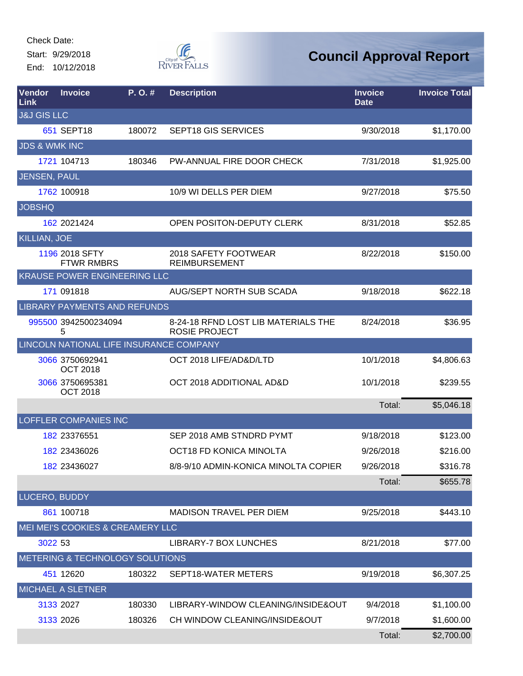Start: 9/29/2018 End: 10/12/2018



| Vendor<br>Link           | <b>Invoice</b>                          | P.O.#  | <b>Description</b>                                          | <b>Invoice</b><br><b>Date</b> | <b>Invoice Total</b> |
|--------------------------|-----------------------------------------|--------|-------------------------------------------------------------|-------------------------------|----------------------|
| <b>J&amp;J GIS LLC</b>   |                                         |        |                                                             |                               |                      |
|                          | 651 SEPT18                              | 180072 | <b>SEPT18 GIS SERVICES</b>                                  | 9/30/2018                     | \$1,170.00           |
| <b>JDS &amp; WMK INC</b> |                                         |        |                                                             |                               |                      |
|                          | 1721 104713                             | 180346 | PW-ANNUAL FIRE DOOR CHECK                                   | 7/31/2018                     | \$1,925.00           |
| JENSEN, PAUL             |                                         |        |                                                             |                               |                      |
|                          | 1762 100918                             |        | 10/9 WI DELLS PER DIEM                                      | 9/27/2018                     | \$75.50              |
| <b>JOBSHQ</b>            |                                         |        |                                                             |                               |                      |
|                          | 162 2021424                             |        | OPEN POSITON-DEPUTY CLERK                                   | 8/31/2018                     | \$52.85              |
| <b>KILLIAN, JOE</b>      |                                         |        |                                                             |                               |                      |
|                          | 1196 2018 SFTY<br><b>FTWR RMBRS</b>     |        | 2018 SAFETY FOOTWEAR<br><b>REIMBURSEMENT</b>                | 8/22/2018                     | \$150.00             |
|                          | KRAUSE POWER ENGINEERING LLC            |        |                                                             |                               |                      |
|                          | 171 091818                              |        | <b>AUG/SEPT NORTH SUB SCADA</b>                             | 9/18/2018                     | \$622.18             |
|                          | LIBRARY PAYMENTS AND REFUNDS            |        |                                                             |                               |                      |
|                          | 995500 3942500234094<br>5               |        | 8-24-18 RFND LOST LIB MATERIALS THE<br><b>ROSIE PROJECT</b> | 8/24/2018                     | \$36.95              |
|                          | LINCOLN NATIONAL LIFE INSURANCE COMPANY |        |                                                             |                               |                      |
|                          | 3066 3750692941<br><b>OCT 2018</b>      |        | OCT 2018 LIFE/AD&D/LTD                                      | 10/1/2018                     | \$4,806.63           |
|                          | 3066 3750695381<br><b>OCT 2018</b>      |        | OCT 2018 ADDITIONAL AD&D                                    | 10/1/2018                     | \$239.55             |
|                          |                                         |        |                                                             | Total:                        | \$5,046.18           |
|                          | <b>LOFFLER COMPANIES INC</b>            |        |                                                             |                               |                      |
|                          | 182 23376551                            |        | SEP 2018 AMB STNDRD PYMT                                    | 9/18/2018                     | \$123.00             |
|                          | 182 23436026                            |        | OCT18 FD KONICA MINOLTA                                     | 9/26/2018                     | \$216.00             |
|                          | 182 23436027                            |        | 8/8-9/10 ADMIN-KONICA MINOLTA COPIER                        | 9/26/2018                     | \$316.78             |
|                          |                                         |        |                                                             | Total:                        | \$655.78             |
| LUCERO, BUDDY            |                                         |        |                                                             |                               |                      |
|                          | 861 100718                              |        | <b>MADISON TRAVEL PER DIEM</b>                              | 9/25/2018                     | \$443.10             |
|                          | MEI MEI'S COOKIES & CREAMERY LLC        |        |                                                             |                               |                      |
| 3022 53                  |                                         |        | <b>LIBRARY-7 BOX LUNCHES</b>                                | 8/21/2018                     | \$77.00              |
|                          | METERING & TECHNOLOGY SOLUTIONS         |        |                                                             |                               |                      |
|                          | 451 12620                               | 180322 | SEPT18-WATER METERS                                         | 9/19/2018                     | \$6,307.25           |
|                          | <b>MICHAEL A SLETNER</b>                |        |                                                             |                               |                      |
|                          | 3133 2027                               | 180330 | LIBRARY-WINDOW CLEANING/INSIDE&OUT                          | 9/4/2018                      | \$1,100.00           |
|                          | 3133 2026                               | 180326 | CH WINDOW CLEANING/INSIDE&OUT                               | 9/7/2018                      | \$1,600.00           |
|                          |                                         |        |                                                             | Total:                        | \$2,700.00           |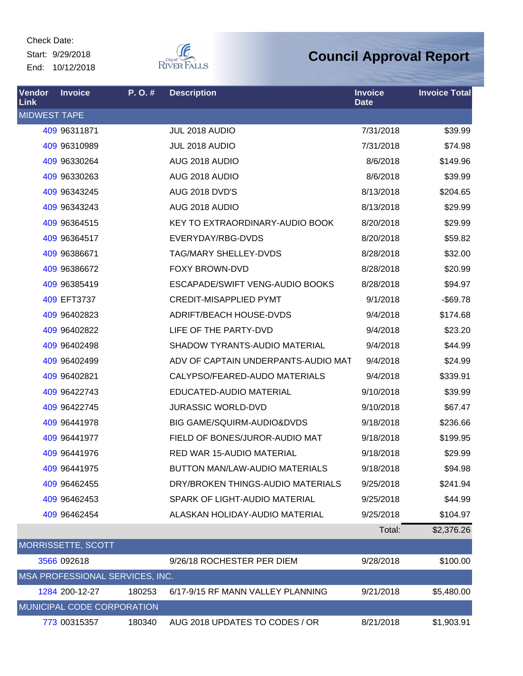Check Date: Start: 9/29/2018 End: 10/12/2018



| Vendor<br><b>Link</b> | <b>Invoice</b>                  | P.O.#  | <b>Description</b>                    | <b>Invoice</b><br><b>Date</b> | <b>Invoice Total</b> |
|-----------------------|---------------------------------|--------|---------------------------------------|-------------------------------|----------------------|
| <b>MIDWEST TAPE</b>   |                                 |        |                                       |                               |                      |
|                       | 409 96311871                    |        | JUL 2018 AUDIO                        | 7/31/2018                     | \$39.99              |
|                       | 409 96310989                    |        | JUL 2018 AUDIO                        | 7/31/2018                     | \$74.98              |
|                       | 409 96330264                    |        | AUG 2018 AUDIO                        | 8/6/2018                      | \$149.96             |
|                       | 409 96330263                    |        | AUG 2018 AUDIO                        | 8/6/2018                      | \$39.99              |
|                       | 409 96343245                    |        | <b>AUG 2018 DVD'S</b>                 | 8/13/2018                     | \$204.65             |
|                       | 409 96343243                    |        | AUG 2018 AUDIO                        | 8/13/2018                     | \$29.99              |
|                       | 409 96364515                    |        | KEY TO EXTRAORDINARY-AUDIO BOOK       | 8/20/2018                     | \$29.99              |
|                       | 409 96364517                    |        | EVERYDAY/RBG-DVDS                     | 8/20/2018                     | \$59.82              |
|                       | 409 96386671                    |        | <b>TAG/MARY SHELLEY-DVDS</b>          | 8/28/2018                     | \$32.00              |
|                       | 409 96386672                    |        | <b>FOXY BROWN-DVD</b>                 | 8/28/2018                     | \$20.99              |
|                       | 409 96385419                    |        | ESCAPADE/SWIFT VENG-AUDIO BOOKS       | 8/28/2018                     | \$94.97              |
|                       | 409 EFT3737                     |        | <b>CREDIT-MISAPPLIED PYMT</b>         | 9/1/2018                      | $-$ \$69.78          |
|                       | 409 96402823                    |        | ADRIFT/BEACH HOUSE-DVDS               | 9/4/2018                      | \$174.68             |
|                       | 409 96402822                    |        | LIFE OF THE PARTY-DVD                 | 9/4/2018                      | \$23.20              |
|                       | 409 96402498                    |        | SHADOW TYRANTS-AUDIO MATERIAL         | 9/4/2018                      | \$44.99              |
|                       | 409 96402499                    |        | ADV OF CAPTAIN UNDERPANTS-AUDIO MAT   | 9/4/2018                      | \$24.99              |
|                       | 409 96402821                    |        | CALYPSO/FEARED-AUDO MATERIALS         | 9/4/2018                      | \$339.91             |
|                       | 409 96422743                    |        | EDUCATED-AUDIO MATERIAL               | 9/10/2018                     | \$39.99              |
|                       | 409 96422745                    |        | <b>JURASSIC WORLD-DVD</b>             | 9/10/2018                     | \$67.47              |
|                       | 409 96441978                    |        | BIG GAME/SQUIRM-AUDIO&DVDS            | 9/18/2018                     | \$236.66             |
|                       | 409 96441977                    |        | FIELD OF BONES/JUROR-AUDIO MAT        | 9/18/2018                     | \$199.95             |
|                       | 409 96441976                    |        | <b>RED WAR 15-AUDIO MATERIAL</b>      | 9/18/2018                     | \$29.99              |
|                       | 409 96441975                    |        | <b>BUTTON MAN/LAW-AUDIO MATERIALS</b> | 9/18/2018                     | \$94.98              |
|                       | 409 96462455                    |        | DRY/BROKEN THINGS-AUDIO MATERIALS     | 9/25/2018                     | \$241.94             |
|                       | 409 96462453                    |        | SPARK OF LIGHT-AUDIO MATERIAL         | 9/25/2018                     | \$44.99              |
|                       | 409 96462454                    |        | ALASKAN HOLIDAY-AUDIO MATERIAL        | 9/25/2018                     | \$104.97             |
|                       |                                 |        |                                       | Total:                        | \$2,376.26           |
|                       | <b>MORRISSETTE, SCOTT</b>       |        |                                       |                               |                      |
|                       | 3566 092618                     |        | 9/26/18 ROCHESTER PER DIEM            | 9/28/2018                     | \$100.00             |
|                       | MSA PROFESSIONAL SERVICES, INC. |        |                                       |                               |                      |
|                       | 1284 200-12-27                  | 180253 | 6/17-9/15 RF MANN VALLEY PLANNING     | 9/21/2018                     | \$5,480.00           |
|                       | MUNICIPAL CODE CORPORATION      |        |                                       |                               |                      |
|                       | 773 00315357                    | 180340 | AUG 2018 UPDATES TO CODES / OR        | 8/21/2018                     | \$1,903.91           |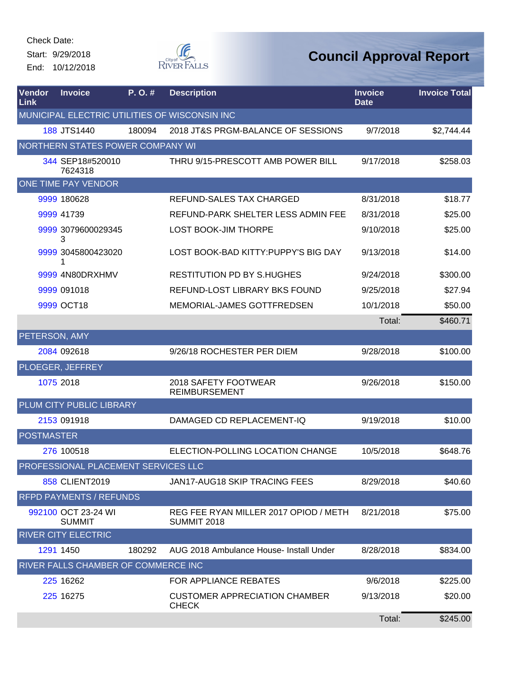Start: 9/29/2018 End: 10/12/2018



| Vendor<br>Link    | <b>Invoice</b>                       | $P. O.$ # | <b>Description</b>                                          | <b>Invoice</b><br><b>Date</b> | <b>Invoice Total</b> |
|-------------------|--------------------------------------|-----------|-------------------------------------------------------------|-------------------------------|----------------------|
|                   |                                      |           | MUNICIPAL ELECTRIC UTILITIES OF WISCONSIN INC               |                               |                      |
|                   | 188 JTS1440                          | 180094    | 2018 JT&S PRGM-BALANCE OF SESSIONS                          | 9/7/2018                      | \$2,744.44           |
|                   | NORTHERN STATES POWER COMPANY WI     |           |                                                             |                               |                      |
|                   | 344 SEP18#520010<br>7624318          |           | THRU 9/15-PRESCOTT AMB POWER BILL                           | 9/17/2018                     | \$258.03             |
|                   | ONE TIME PAY VENDOR                  |           |                                                             |                               |                      |
|                   | 9999 180628                          |           | REFUND-SALES TAX CHARGED                                    | 8/31/2018                     | \$18.77              |
|                   | 9999 41739                           |           | REFUND-PARK SHELTER LESS ADMIN FEE                          | 8/31/2018                     | \$25.00              |
|                   | 9999 3079600029345<br>3              |           | <b>LOST BOOK-JIM THORPE</b>                                 | 9/10/2018                     | \$25.00              |
|                   | 9999 3045800423020<br>1              |           | LOST BOOK-BAD KITTY: PUPPY'S BIG DAY                        | 9/13/2018                     | \$14.00              |
|                   | 9999 4N80DRXHMV                      |           | <b>RESTITUTION PD BY S.HUGHES</b>                           | 9/24/2018                     | \$300.00             |
|                   | 9999 091018                          |           | REFUND-LOST LIBRARY BKS FOUND                               | 9/25/2018                     | \$27.94              |
|                   | 9999 OCT18                           |           | MEMORIAL-JAMES GOTTFREDSEN                                  | 10/1/2018                     | \$50.00              |
|                   |                                      |           |                                                             | Total:                        | \$460.71             |
| PETERSON, AMY     |                                      |           |                                                             |                               |                      |
|                   | 2084 092618                          |           | 9/26/18 ROCHESTER PER DIEM                                  | 9/28/2018                     | \$100.00             |
|                   | PLOEGER, JEFFREY                     |           |                                                             |                               |                      |
|                   | 1075 2018                            |           | 2018 SAFETY FOOTWEAR<br><b>REIMBURSEMENT</b>                | 9/26/2018                     | \$150.00             |
|                   | PLUM CITY PUBLIC LIBRARY             |           |                                                             |                               |                      |
|                   | 2153 091918                          |           | DAMAGED CD REPLACEMENT-IQ                                   | 9/19/2018                     | \$10.00              |
| <b>POSTMASTER</b> |                                      |           |                                                             |                               |                      |
|                   | 276 100518                           |           | ELECTION-POLLING LOCATION CHANGE                            | 10/5/2018                     | \$648.76             |
|                   | PROFESSIONAL PLACEMENT SERVICES LLC  |           |                                                             |                               |                      |
|                   | 858 CLIENT2019                       |           | JAN17-AUG18 SKIP TRACING FEES                               | 8/29/2018                     | \$40.60              |
|                   | <b>RFPD PAYMENTS / REFUNDS</b>       |           |                                                             |                               |                      |
|                   | 992100 OCT 23-24 WI<br><b>SUMMIT</b> |           | REG FEE RYAN MILLER 2017 OPIOD / METH<br><b>SUMMIT 2018</b> | 8/21/2018                     | \$75.00              |
|                   | <b>RIVER CITY ELECTRIC</b>           |           |                                                             |                               |                      |
|                   | 1291 1450                            | 180292    | AUG 2018 Ambulance House- Install Under                     | 8/28/2018                     | \$834.00             |
|                   | RIVER FALLS CHAMBER OF COMMERCE INC  |           |                                                             |                               |                      |
|                   | 225 16262                            |           | FOR APPLIANCE REBATES                                       | 9/6/2018                      | \$225.00             |
|                   | 225 16275                            |           | <b>CUSTOMER APPRECIATION CHAMBER</b><br><b>CHECK</b>        | 9/13/2018                     | \$20.00              |
|                   |                                      |           |                                                             | Total:                        | \$245.00             |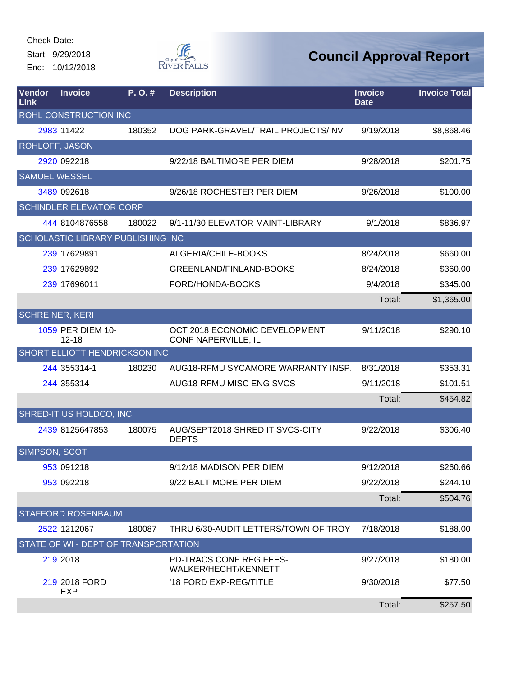Start: 9/29/2018 End: 10/12/2018



| Vendor<br>Link         | <b>Invoice</b>                           | P.O.#  | <b>Description</b>                                     | <b>Invoice</b><br><b>Date</b> | <b>Invoice Total</b> |
|------------------------|------------------------------------------|--------|--------------------------------------------------------|-------------------------------|----------------------|
|                        | ROHL CONSTRUCTION INC                    |        |                                                        |                               |                      |
|                        | 2983 11422                               | 180352 | DOG PARK-GRAVEL/TRAIL PROJECTS/INV                     | 9/19/2018                     | \$8,868.46           |
| <b>ROHLOFF, JASON</b>  |                                          |        |                                                        |                               |                      |
|                        | 2920 092218                              |        | 9/22/18 BALTIMORE PER DIEM                             | 9/28/2018                     | \$201.75             |
| <b>SAMUEL WESSEL</b>   |                                          |        |                                                        |                               |                      |
|                        | 3489 092618                              |        | 9/26/18 ROCHESTER PER DIEM                             | 9/26/2018                     | \$100.00             |
|                        | <b>SCHINDLER ELEVATOR CORP</b>           |        |                                                        |                               |                      |
|                        | 444 8104876558                           | 180022 | 9/1-11/30 ELEVATOR MAINT-LIBRARY                       | 9/1/2018                      | \$836.97             |
|                        | <b>SCHOLASTIC LIBRARY PUBLISHING INC</b> |        |                                                        |                               |                      |
|                        | 239 17629891                             |        | ALGERIA/CHILE-BOOKS                                    | 8/24/2018                     | \$660.00             |
|                        | 239 17629892                             |        | GREENLAND/FINLAND-BOOKS                                | 8/24/2018                     | \$360.00             |
|                        | 239 17696011                             |        | FORD/HONDA-BOOKS                                       | 9/4/2018                      | \$345.00             |
|                        |                                          |        |                                                        | Total:                        | \$1,365.00           |
| <b>SCHREINER, KERI</b> |                                          |        |                                                        |                               |                      |
|                        | 1059 PER DIEM 10-<br>$12 - 18$           |        | OCT 2018 ECONOMIC DEVELOPMENT<br>CONF NAPERVILLE, IL   | 9/11/2018                     | \$290.10             |
|                        | <b>SHORT ELLIOTT HENDRICKSON INC</b>     |        |                                                        |                               |                      |
|                        | 244 355314-1                             | 180230 | AUG18-RFMU SYCAMORE WARRANTY INSP.                     | 8/31/2018                     | \$353.31             |
|                        | 244 355314                               |        | AUG18-RFMU MISC ENG SVCS                               | 9/11/2018                     | \$101.51             |
|                        |                                          |        |                                                        | Total:                        | \$454.82             |
|                        | SHRED-IT US HOLDCO, INC                  |        |                                                        |                               |                      |
|                        | 2439 8125647853                          | 180075 | AUG/SEPT2018 SHRED IT SVCS-CITY<br><b>DEPTS</b>        | 9/22/2018                     | \$306.40             |
| SIMPSON, SCOT          |                                          |        |                                                        |                               |                      |
|                        | 953 091218                               |        | 9/12/18 MADISON PER DIEM                               | 9/12/2018                     | \$260.66             |
|                        | 953 092218                               |        | 9/22 BALTIMORE PER DIEM                                | 9/22/2018                     | \$244.10             |
|                        |                                          |        |                                                        | Total:                        | \$504.76             |
|                        | <b>STAFFORD ROSENBAUM</b>                |        |                                                        |                               |                      |
|                        | 2522 1212067                             | 180087 | THRU 6/30-AUDIT LETTERS/TOWN OF TROY                   | 7/18/2018                     | \$188.00             |
|                        | STATE OF WI - DEPT OF TRANSPORTATION     |        |                                                        |                               |                      |
|                        | 219 2018                                 |        | <b>PD-TRACS CONF REG FEES-</b><br>WALKER/HECHT/KENNETT | 9/27/2018                     | \$180.00             |
|                        | 219 2018 FORD<br><b>EXP</b>              |        | '18 FORD EXP-REG/TITLE                                 | 9/30/2018                     | \$77.50              |
|                        |                                          |        |                                                        | Total:                        | \$257.50             |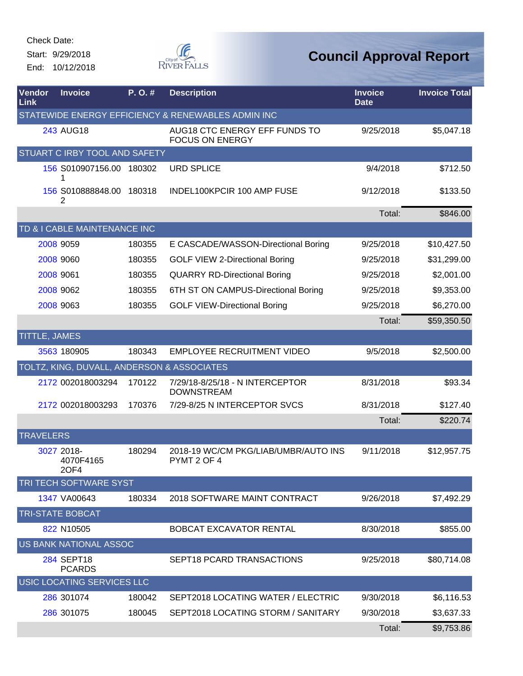Start: 9/29/2018 End: 10/12/2018



| Vendor<br>Link   | <b>Invoice</b>                                     | P.O.#  | <b>Description</b>                                      | <b>Invoice</b><br><b>Date</b> | <b>Invoice Total</b> |  |  |  |  |  |
|------------------|----------------------------------------------------|--------|---------------------------------------------------------|-------------------------------|----------------------|--|--|--|--|--|
|                  | STATEWIDE ENERGY EFFICIENCY & RENEWABLES ADMIN INC |        |                                                         |                               |                      |  |  |  |  |  |
|                  | <b>243 AUG18</b>                                   |        | AUG18 CTC ENERGY EFF FUNDS TO<br><b>FOCUS ON ENERGY</b> | 9/25/2018                     | \$5,047.18           |  |  |  |  |  |
|                  | STUART C IRBY TOOL AND SAFETY                      |        |                                                         |                               |                      |  |  |  |  |  |
|                  | 156 S010907156.00 180302<br>1                      |        | <b>URD SPLICE</b>                                       | 9/4/2018                      | \$712.50             |  |  |  |  |  |
|                  | 156 S010888848.00 180318<br>2                      |        | INDEL100KPCIR 100 AMP FUSE                              | 9/12/2018                     | \$133.50             |  |  |  |  |  |
|                  |                                                    |        |                                                         | Total:                        | \$846.00             |  |  |  |  |  |
|                  | TD & I CABLE MAINTENANCE INC                       |        |                                                         |                               |                      |  |  |  |  |  |
|                  | 2008 9059                                          | 180355 | E CASCADE/WASSON-Directional Boring                     | 9/25/2018                     | \$10,427.50          |  |  |  |  |  |
|                  | 2008 9060                                          | 180355 | <b>GOLF VIEW 2-Directional Boring</b>                   | 9/25/2018                     | \$31,299.00          |  |  |  |  |  |
|                  | 2008 9061                                          | 180355 | <b>QUARRY RD-Directional Boring</b>                     | 9/25/2018                     | \$2,001.00           |  |  |  |  |  |
|                  | 2008 9062                                          | 180355 | 6TH ST ON CAMPUS-Directional Boring                     | 9/25/2018                     | \$9,353.00           |  |  |  |  |  |
|                  | 2008 9063                                          | 180355 | <b>GOLF VIEW-Directional Boring</b>                     | 9/25/2018                     | \$6,270.00           |  |  |  |  |  |
|                  |                                                    |        |                                                         | Total:                        | \$59,350.50          |  |  |  |  |  |
|                  | TITTLE, JAMES                                      |        |                                                         |                               |                      |  |  |  |  |  |
|                  | 3563 180905                                        | 180343 | <b>EMPLOYEE RECRUITMENT VIDEO</b>                       | 9/5/2018                      | \$2,500.00           |  |  |  |  |  |
|                  | TOLTZ, KING, DUVALL, ANDERSON & ASSOCIATES         |        |                                                         |                               |                      |  |  |  |  |  |
|                  | 2172 002018003294                                  | 170122 | 7/29/18-8/25/18 - N INTERCEPTOR<br><b>DOWNSTREAM</b>    | 8/31/2018                     | \$93.34              |  |  |  |  |  |
|                  | 2172 002018003293                                  | 170376 | 7/29-8/25 N INTERCEPTOR SVCS                            | 8/31/2018                     | \$127.40             |  |  |  |  |  |
|                  |                                                    |        |                                                         | Total:                        | \$220.74             |  |  |  |  |  |
| <b>TRAVELERS</b> |                                                    |        |                                                         |                               |                      |  |  |  |  |  |
|                  | 3027 2018-<br>4070F4165<br>20F4                    | 180294 | 2018-19 WC/CM PKG/LIAB/UMBR/AUTO INS<br>PYMT 2 OF 4     | 9/11/2018                     | \$12,957.75          |  |  |  |  |  |
|                  | <b>TRI TECH SOFTWARE SYST</b>                      |        |                                                         |                               |                      |  |  |  |  |  |
|                  | 1347 VA00643                                       | 180334 | 2018 SOFTWARE MAINT CONTRACT                            | 9/26/2018                     | \$7,492.29           |  |  |  |  |  |
|                  | <b>TRI-STATE BOBCAT</b>                            |        |                                                         |                               |                      |  |  |  |  |  |
|                  | 822 N10505                                         |        | BOBCAT EXCAVATOR RENTAL                                 | 8/30/2018                     | \$855.00             |  |  |  |  |  |
|                  | US BANK NATIONAL ASSOC                             |        |                                                         |                               |                      |  |  |  |  |  |
|                  | 284 SEPT18<br><b>PCARDS</b>                        |        | SEPT18 PCARD TRANSACTIONS                               | 9/25/2018                     | \$80,714.08          |  |  |  |  |  |
|                  | USIC LOCATING SERVICES LLC                         |        |                                                         |                               |                      |  |  |  |  |  |
|                  | 286 301074                                         | 180042 | SEPT2018 LOCATING WATER / ELECTRIC                      | 9/30/2018                     | \$6,116.53           |  |  |  |  |  |
|                  | 286 301075                                         | 180045 | SEPT2018 LOCATING STORM / SANITARY                      | 9/30/2018                     | \$3,637.33           |  |  |  |  |  |
|                  |                                                    |        |                                                         | Total:                        | \$9,753.86           |  |  |  |  |  |